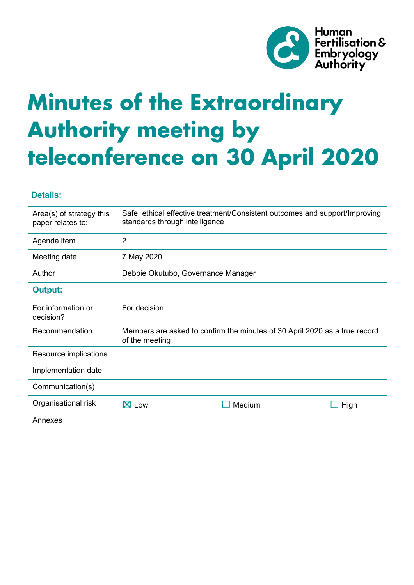

# **Minutes of the Extraordinary Authority meeting by teleconference on 30 April 2020**

| <b>Details:</b>                               |                                                                                              |        |                                                                             |
|-----------------------------------------------|----------------------------------------------------------------------------------------------|--------|-----------------------------------------------------------------------------|
| Area(s) of strategy this<br>paper relates to: | standards through intelligence                                                               |        | Safe, ethical effective treatment/Consistent outcomes and support/Improving |
| Agenda item                                   | $\overline{2}$                                                                               |        |                                                                             |
| Meeting date                                  | 7 May 2020                                                                                   |        |                                                                             |
| Author                                        | Debbie Okutubo, Governance Manager                                                           |        |                                                                             |
| <b>Output:</b>                                |                                                                                              |        |                                                                             |
| For information or<br>decision?               | For decision                                                                                 |        |                                                                             |
| Recommendation                                | Members are asked to confirm the minutes of 30 April 2020 as a true record<br>of the meeting |        |                                                                             |
| Resource implications                         |                                                                                              |        |                                                                             |
| Implementation date                           |                                                                                              |        |                                                                             |
| Communication(s)                              |                                                                                              |        |                                                                             |
| Organisational risk                           | $\boxtimes$ Low                                                                              | Medium | High                                                                        |
| Annexes                                       |                                                                                              |        |                                                                             |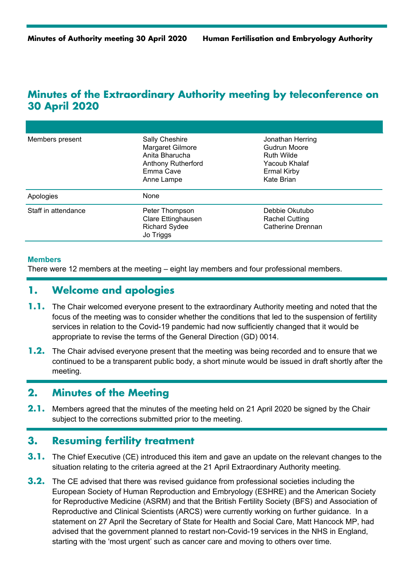# **Minutes of the Extraordinary Authority meeting by teleconference on 30 April 2020**

| Members present     | Sally Cheshire<br>Margaret Gilmore<br>Anita Bharucha<br><b>Anthony Rutherford</b><br>Emma Cave<br>Anne Lampe | Jonathan Herring<br>Gudrun Moore<br>Ruth Wilde<br>Yacoub Khalaf<br><b>Ermal Kirby</b><br>Kate Brian |
|---------------------|--------------------------------------------------------------------------------------------------------------|-----------------------------------------------------------------------------------------------------|
| Apologies           | None                                                                                                         |                                                                                                     |
| Staff in attendance | Peter Thompson<br>Clare Ettinghausen<br><b>Richard Sydee</b><br>Jo Triggs                                    | Debbie Okutubo<br><b>Rachel Cutting</b><br>Catherine Drennan                                        |

#### **Members**

There were 12 members at the meeting – eight lay members and four professional members.

# **1. Welcome and apologies**

- **1.1.** The Chair welcomed everyone present to the extraordinary Authority meeting and noted that the focus of the meeting was to consider whether the conditions that led to the suspension of fertility services in relation to the Covid-19 pandemic had now sufficiently changed that it would be appropriate to revise the terms of the General Direction (GD) 0014.
- **1.2.** The Chair advised everyone present that the meeting was being recorded and to ensure that we continued to be a transparent public body, a short minute would be issued in draft shortly after the meeting.

#### **2. Minutes of the Meeting**

**2.1.** Members agreed that the minutes of the meeting held on 21 April 2020 be signed by the Chair subject to the corrections submitted prior to the meeting.

### **3. Resuming fertility treatment**

- **3.1.** The Chief Executive (CE) introduced this item and gave an update on the relevant changes to the situation relating to the criteria agreed at the 21 April Extraordinary Authority meeting.
- **3.2.** The CE advised that there was revised guidance from professional societies including the European Society of Human Reproduction and Embryology (ESHRE) and the American Society for Reproductive Medicine (ASRM) and that the British Fertility Society (BFS) and Association of Reproductive and Clinical Scientists (ARCS) were currently working on further guidance. In a statement on 27 April the Secretary of State for Health and Social Care, Matt Hancock MP, had advised that the government planned to restart non-Covid-19 services in the NHS in England, starting with the 'most urgent' such as cancer care and moving to others over time.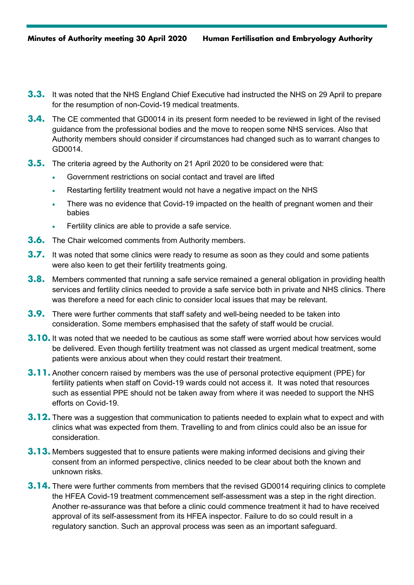- **3.3.** It was noted that the NHS England Chief Executive had instructed the NHS on 29 April to prepare for the resumption of non-Covid-19 medical treatments.
- **3.4.** The CE commented that GD0014 in its present form needed to be reviewed in light of the revised guidance from the professional bodies and the move to reopen some NHS services. Also that Authority members should consider if circumstances had changed such as to warrant changes to GD0014.
- **3.5.** The criteria agreed by the Authority on 21 April 2020 to be considered were that:
	- Government restrictions on social contact and travel are lifted
	- Restarting fertility treatment would not have a negative impact on the NHS
	- There was no evidence that Covid-19 impacted on the health of pregnant women and their babies
	- Fertility clinics are able to provide a safe service.
- **3.6.** The Chair welcomed comments from Authority members.
- **3.7.** It was noted that some clinics were ready to resume as soon as they could and some patients were also keen to get their fertility treatments going.
- **3.8.** Members commented that running a safe service remained a general obligation in providing health services and fertility clinics needed to provide a safe service both in private and NHS clinics. There was therefore a need for each clinic to consider local issues that may be relevant.
- **3.9.** There were further comments that staff safety and well-being needed to be taken into consideration. Some members emphasised that the safety of staff would be crucial.
- **3.10.** It was noted that we needed to be cautious as some staff were worried about how services would be delivered. Even though fertility treatment was not classed as urgent medical treatment, some patients were anxious about when they could restart their treatment.
- **3.11.** Another concern raised by members was the use of personal protective equipment (PPE) for fertility patients when staff on Covid-19 wards could not access it. It was noted that resources such as essential PPE should not be taken away from where it was needed to support the NHS efforts on Covid-19.
- **3.12.** There was a suggestion that communication to patients needed to explain what to expect and with clinics what was expected from them. Travelling to and from clinics could also be an issue for consideration.
- **3.13.** Members suggested that to ensure patients were making informed decisions and giving their consent from an informed perspective, clinics needed to be clear about both the known and unknown risks.
- **3.14.** There were further comments from members that the revised GD0014 requiring clinics to complete the HFEA Covid-19 treatment commencement self-assessment was a step in the right direction. Another re-assurance was that before a clinic could commence treatment it had to have received approval of its self-assessment from its HFEA inspector. Failure to do so could result in a regulatory sanction. Such an approval process was seen as an important safeguard.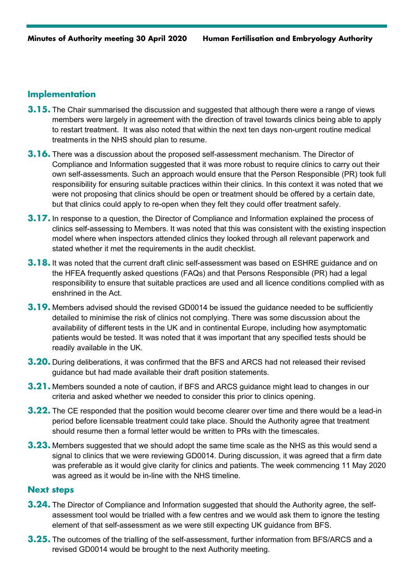#### **Implementation**

- **3.15.** The Chair summarised the discussion and suggested that although there were a range of views members were largely in agreement with the direction of travel towards clinics being able to apply to restart treatment. It was also noted that within the next ten days non-urgent routine medical treatments in the NHS should plan to resume.
- **3.16.** There was a discussion about the proposed self-assessment mechanism. The Director of Compliance and Information suggested that it was more robust to require clinics to carry out their own self-assessments. Such an approach would ensure that the Person Responsible (PR) took full responsibility for ensuring suitable practices within their clinics. In this context it was noted that we were not proposing that clinics should be open or treatment should be offered by a certain date, but that clinics could apply to re-open when they felt they could offer treatment safely.
- **3.17.** In response to a question, the Director of Compliance and Information explained the process of clinics self-assessing to Members. It was noted that this was consistent with the existing inspection model where when inspectors attended clinics they looked through all relevant paperwork and stated whether it met the requirements in the audit checklist.
- **3.18.** It was noted that the current draft clinic self-assessment was based on ESHRE guidance and on the HFEA frequently asked questions (FAQs) and that Persons Responsible (PR) had a legal responsibility to ensure that suitable practices are used and all licence conditions complied with as enshrined in the Act.
- **3.19.** Members advised should the revised GD0014 be issued the guidance needed to be sufficiently detailed to minimise the risk of clinics not complying. There was some discussion about the availability of different tests in the UK and in continental Europe, including how asymptomatic patients would be tested. It was noted that it was important that any specified tests should be readily available in the UK.
- **3.20.** During deliberations, it was confirmed that the BFS and ARCS had not released their revised guidance but had made available their draft position statements.
- **3.21.** Members sounded a note of caution, if BFS and ARCS guidance might lead to changes in our criteria and asked whether we needed to consider this prior to clinics opening.
- **3.22.** The CE responded that the position would become clearer over time and there would be a lead-in period before licensable treatment could take place. Should the Authority agree that treatment should resume then a formal letter would be written to PRs with the timescales.
- **3.23.** Members suggested that we should adopt the same time scale as the NHS as this would send a signal to clinics that we were reviewing GD0014. During discussion, it was agreed that a firm date was preferable as it would give clarity for clinics and patients. The week commencing 11 May 2020 was agreed as it would be in-line with the NHS timeline.

#### **Next steps**

- **3.24.** The Director of Compliance and Information suggested that should the Authority agree, the selfassessment tool would be trialled with a few centres and we would ask them to ignore the testing element of that self-assessment as we were still expecting UK guidance from BFS.
- **3.25.** The outcomes of the trialling of the self-assessment, further information from BFS/ARCS and a revised GD0014 would be brought to the next Authority meeting.